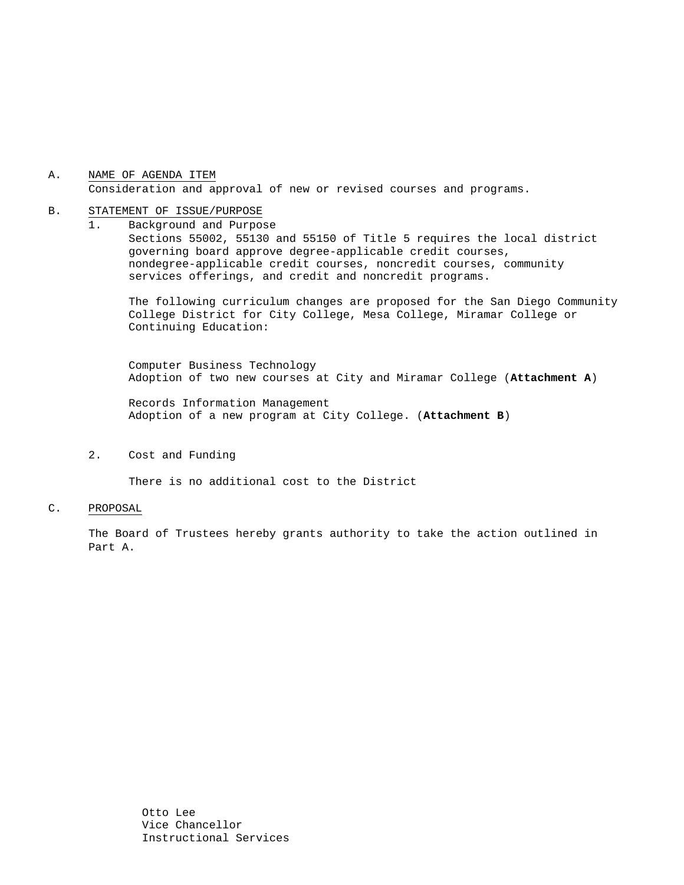## A. NAME OF AGENDA ITEM Consideration and approval of new or revised courses and programs.

#### B. STATEMENT OF ISSUE/PURPOSE

1. Background and Purpose Sections 55002, 55130 and 55150 of Title 5 requires the local district governing board approve degree-applicable credit courses, nondegree-applicable credit courses, noncredit courses, community services offerings, and credit and noncredit programs.

The following curriculum changes are proposed for the San Diego Community College District for City College, Mesa College, Miramar College or Continuing Education:

 Computer Business Technology Adoption of two new courses at City and Miramar College (**Attachment A**)

Records Information Management Adoption of a new program at City College. (**Attachment B**)

2. Cost and Funding

There is no additional cost to the District

#### C. PROPOSAL

The Board of Trustees hereby grants authority to take the action outlined in Part A.

> Otto Lee Vice Chancellor Instructional Services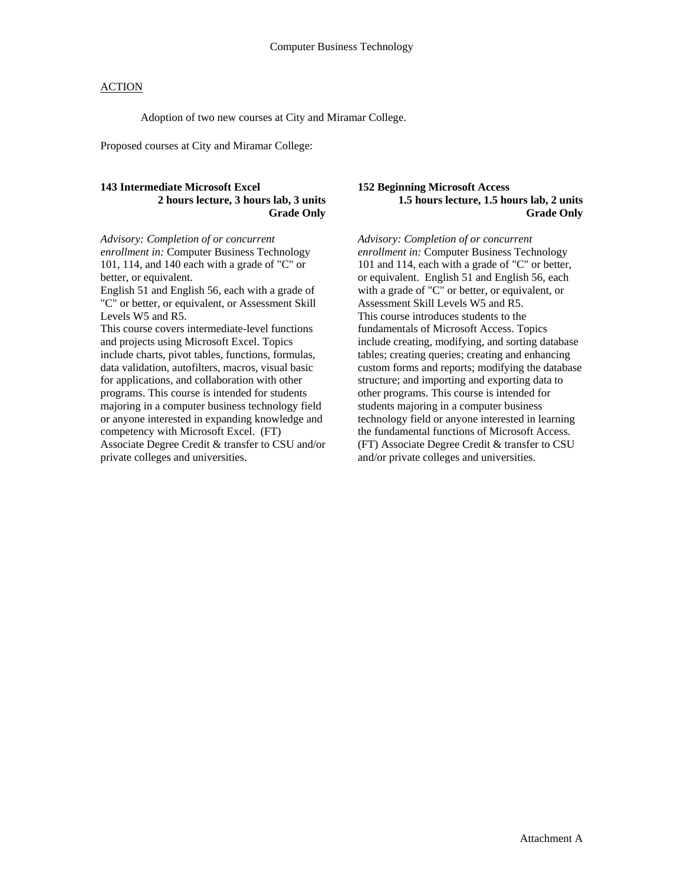## **ACTION**

Adoption of two new courses at City and Miramar College.

Proposed courses at City and Miramar College:

#### **143 Intermediate Microsoft Excel 2 hours lecture, 3 hours lab, 3 units Grade Only**

*Advisory: Completion of or concurrent enrollment in:* Computer Business Technology 101, 114, and 140 each with a grade of "C" or better, or equivalent.

English 51 and English 56, each with a grade of "C" or better, or equivalent, or Assessment Skill Levels W5 and R5.

This course covers intermediate-level functions and projects using Microsoft Excel. Topics include charts, pivot tables, functions, formulas, data validation, autofilters, macros, visual basic for applications, and collaboration with other programs. This course is intended for students majoring in a computer business technology field or anyone interested in expanding knowledge and competency with Microsoft Excel. (FT) Associate Degree Credit & transfer to CSU and/or private colleges and universities.

#### **152 Beginning Microsoft Access 1.5 hours lecture, 1.5 hours lab, 2 units Grade Only**

*Advisory: Completion of or concurrent enrollment in:* Computer Business Technology 101 and 114, each with a grade of "C" or better, or equivalent. English 51 and English 56, each with a grade of "C" or better, or equivalent, or Assessment Skill Levels W5 and R5. This course introduces students to the fundamentals of Microsoft Access. Topics include creating, modifying, and sorting database tables; creating queries; creating and enhancing custom forms and reports; modifying the database structure; and importing and exporting data to other programs. This course is intended for students majoring in a computer business technology field or anyone interested in learning the fundamental functions of Microsoft Access. (FT) Associate Degree Credit & transfer to CSU and/or private colleges and universities.